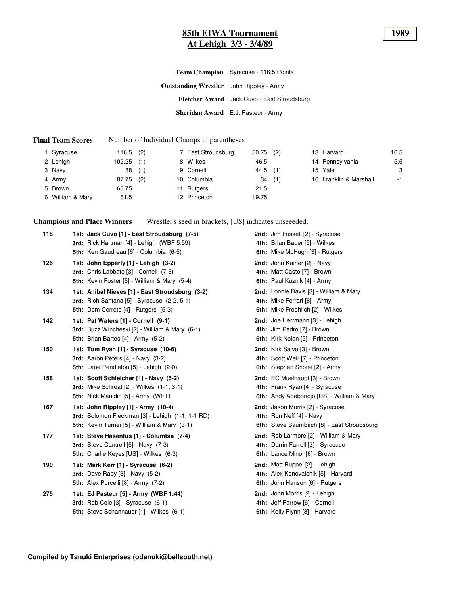# **85th EIWA Tournament 1989 At Lehigh 3/3 - 3/4/89**

|                                                 | Team Champion Syracuse - 116.5 Points       |
|-------------------------------------------------|---------------------------------------------|
| <b>Outstanding Wrestler</b> John Rippley - Army |                                             |
|                                                 | Fletcher Award Jack Cuvo - East Stroudsburg |
|                                                 | Sheridan Award E.J. Pasteur - Army          |

#### **Final Team Scores** Number of Individual Champs in parentheses

| 1 Syracuse       | 116.5  | (2) | 7 East Stroudsburg | 50.75 | (2) | 13 Harvard             | 16.5 |
|------------------|--------|-----|--------------------|-------|-----|------------------------|------|
| 2 Lehigh         | 102.25 | (1) | 8 Wilkes           | 46.5  |     | 14 Pennsylvania        | 5.5  |
| 3 Navy           | 88     | (1) | 9 Cornell          | 44.5  | (1) | 15 Yale                | 3    |
| 4 Army           | 87.75  | (2) | 10 Columbia        | 34    | (1) | 16 Franklin & Marshall | $-1$ |
| 5 Brown          | 63.75  |     | 11 Rutgers         | 21.5  |     |                        |      |
| 6 William & Mary | 61.5   |     | 12 Princeton       | 19.75 |     |                        |      |

**Champions and Place Winners** Wrestler's seed in brackets, [US] indicates unseeeded.

| 118 | 1st: Jack Cuvo [1] - East Stroudsburg (7-5)<br>3rd: Rick Hartman [4] - Lehigh (WBF 5:59)<br>5th: Ken Gaudreau [6] - Columbia (6-5)                    | 2nd: Jim Fussell [2] - Syracuse<br>4th: Brian Bauer [5] - Wilkes<br>6th: Mike McHugh [3] - Rutgers                 |
|-----|-------------------------------------------------------------------------------------------------------------------------------------------------------|--------------------------------------------------------------------------------------------------------------------|
| 126 | 1st: John Epperly [1] - Lehigh (3-2)<br>3rd: Chris Labbate [3] - Cornell (7-6)<br><b>5th:</b> Kevin Foster [5] - William & Mary (5-4)                 | 2nd: John Kainer [2] - Navy<br>4th: Matt Casto [7] - Brown<br>6th: Paul Kuznik [4] - Army                          |
| 134 | 1st: Anibal Nieves [1] - East Stroudsburg (3-2)<br>3rd: Rich Santana $[5]$ - Syracuse $(2-2, 5-1)$<br><b>5th:</b> Dom Cerreto [4] - Rutgers (5-3)     | <b>2nd:</b> Lonnie Davis [3] - William & Mary<br>4th: Mike Ferrari [8] - Army<br>6th: Mike Froehlich [2] - Wilkes  |
| 142 | 1st: Pat Waters [1] - Cornell (9-1)<br><b>3rd:</b> Buzz Wincheski [2] - William & Mary (6-1)<br><b>5th:</b> Brian Bartos $[4]$ - Army $(5-2)$         | 2nd: Joe Herrmann [3] - Lehigh<br>4th: Jim Pedro [7] - Brown<br>6th: Kirk Nolan [5] - Princeton                    |
| 150 | 1st: Tom Ryan [1] - Syracuse (10-6)<br><b>3rd:</b> Aaron Peters $[4]$ - Navy $(3-2)$<br>5th: Lane Pendleton [5] - Lehigh (2-0)                        | 2nd: Kirk Salvo [3] - Brown<br>4th: Scott Weir [7] - Princeton<br>6th: Stephen Shone [2] - Army                    |
| 158 | 1st: Scott Schleicher [1] - Navy (5-2)<br><b>3rd:</b> Mike Schroat [2] - Wilkes (1-1, 3-1)<br><b>5th:</b> Nick Mauldin [5] - Army (WFT)               | 2nd: EC Muelhaupt [3] - Brown<br>4th: Frank Ryan [4] - Syracuse<br>6th: Andy Adebonojo [US] - William & Mary       |
| 167 | 1st: John Rippley [1] - Army (10-4)<br><b>3rd:</b> Solomon Fleckman [3] - Lehigh (1-1, 1-1 RD)<br><b>5th:</b> Kevin Turner [5] - William & Mary (3-1) | 2nd: Jason Morris [2] - Syracuse<br>4th: Ron Neff $[4]$ - Navy<br>6th: Steve Baumbach [8] - East Stroudsburg       |
| 177 | 1st: Steve Hasenfus [1] - Columbia (7-4)<br>3rd: Steve Cantrell [5] - Navy (7-3)<br><b>5th:</b> Charlie Keyes [US] - Wilkes (6-3)                     | <b>2nd:</b> Rob Larmore [2] - William & Mary<br>4th: Darrin Farrell [3] - Syracuse<br>6th: Lance Minor [6] - Brown |
| 190 | 1st: Mark Kerr [1] - Syracuse (6-2)<br><b>3rd:</b> Dave Raby [3] - Navy (5-2)<br>5th: Alex Porcelli [8] - Army (7-2)                                  | 2nd: Matt Ruppel [2] - Lehigh<br>4th: Alex Konovalchik [5] - Harvard<br>6th: John Hanson [6] - Rutgers             |
| 275 | 1st: EJ Pasteur [5] - Army (WBF 1:44)<br>3rd: Rob Cole [3] - Syracuse (6-1)<br>5th: Steve Schannauer [1] - Wilkes (6-1)                               | 2nd: John Morris [2] - Lehigh<br>4th: Jeff Farrow [6] - Cornell<br>6th: Kelly Flynn [8] - Harvard                  |
|     |                                                                                                                                                       |                                                                                                                    |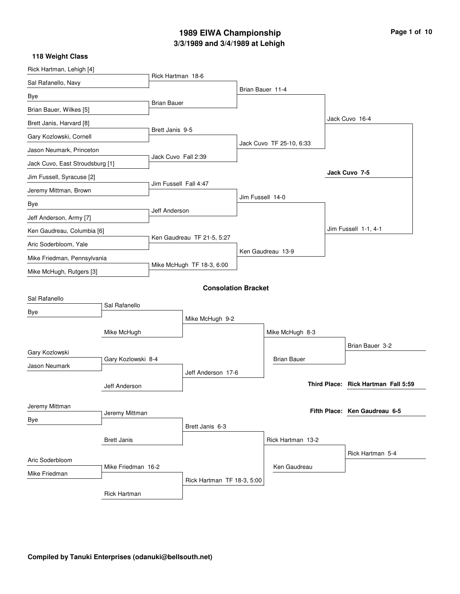# **3/3/1989 and 3/4/1989 at Lehigh 1989 EIWA Championship Page 1 of 10**

| Rick Hartman, Lehigh [4]        |                                     |                           |                            |                  |                          |                                     |
|---------------------------------|-------------------------------------|---------------------------|----------------------------|------------------|--------------------------|-------------------------------------|
| Sal Rafanello, Navy             |                                     | Rick Hartman 18-6         |                            |                  |                          |                                     |
| Bye                             |                                     |                           |                            |                  | Brian Bauer 11-4         |                                     |
| Brian Bauer, Wilkes [5]         |                                     | <b>Brian Bauer</b>        |                            |                  |                          |                                     |
| Brett Janis, Harvard [8]        |                                     |                           |                            |                  |                          | Jack Cuvo 16-4                      |
| Gary Kozlowski, Cornell         |                                     | Brett Janis 9-5           |                            |                  |                          |                                     |
| Jason Neumark, Princeton        |                                     |                           |                            |                  | Jack Cuvo TF 25-10, 6:33 |                                     |
| Jack Cuvo, East Stroudsburg [1] |                                     | Jack Cuvo Fall 2:39       |                            |                  |                          |                                     |
| Jim Fussell, Syracuse [2]       |                                     |                           |                            |                  |                          | Jack Cuvo 7-5                       |
| Jeremy Mittman, Brown           |                                     | Jim Fussell Fall 4:47     |                            |                  |                          |                                     |
| Bye                             |                                     |                           |                            | Jim Fussell 14-0 |                          |                                     |
| Jeff Anderson, Army [7]         |                                     | Jeff Anderson             |                            |                  |                          |                                     |
| Ken Gaudreau, Columbia [6]      |                                     |                           |                            |                  |                          | Jim Fussell 1-1, 4-1                |
| Aric Soderbloom, Yale           |                                     |                           | Ken Gaudreau TF 21-5, 5:27 |                  |                          |                                     |
| Mike Friedman, Pennsylvania     |                                     | Mike McHugh TF 18-3, 6:00 |                            |                  | Ken Gaudreau 13-9        |                                     |
| Mike McHugh, Rutgers [3]        |                                     |                           |                            |                  |                          |                                     |
|                                 |                                     |                           | <b>Consolation Bracket</b> |                  |                          |                                     |
| Sal Rafanello                   |                                     |                           |                            |                  |                          |                                     |
| Bye                             | Sal Rafanello                       |                           |                            |                  |                          |                                     |
|                                 |                                     | Mike McHugh 9-2           |                            |                  |                          |                                     |
|                                 | Mike McHugh                         |                           |                            |                  | Mike McHugh 8-3          |                                     |
| Gary Kozlowski                  |                                     |                           |                            |                  |                          | Brian Bauer 3-2                     |
| Jason Neumark                   | Gary Kozlowski 8-4                  |                           |                            |                  | <b>Brian Bauer</b>       |                                     |
|                                 |                                     |                           | Jeff Anderson 17-6         |                  |                          | Third Place: Rick Hartman Fall 5:59 |
|                                 | Jeff Anderson                       |                           |                            |                  |                          |                                     |
| Jeremy Mittman                  |                                     |                           |                            |                  |                          | Fifth Place: Ken Gaudreau 6-5       |
| Bye                             | Jeremy Mittman                      |                           |                            |                  |                          |                                     |
|                                 |                                     |                           | Brett Janis 6-3            |                  |                          |                                     |
|                                 | <b>Brett Janis</b>                  |                           |                            |                  | Rick Hartman 13-2        |                                     |
| Aric Soderbloom                 | Mike Friedman 16-2<br>Mike Friedman |                           |                            |                  |                          | Rick Hartman 5-4                    |
|                                 |                                     |                           |                            |                  | Ken Gaudreau             |                                     |
|                                 | <b>Rick Hartman</b>                 |                           | Rick Hartman TF 18-3, 5:00 |                  |                          |                                     |
|                                 |                                     |                           |                            |                  |                          |                                     |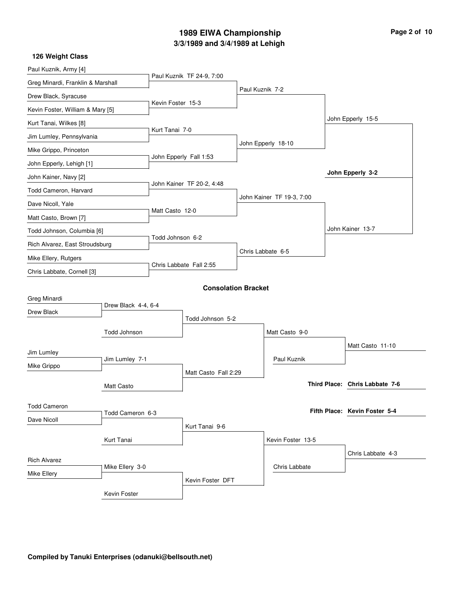### **3/3/1989 and 3/4/1989 at Lehigh 1989 EIWA Championship Page 2 of 10**

| Paul Kuznik, Army [4]                  |                     |                         |                            |                 |                           |  |                                |
|----------------------------------------|---------------------|-------------------------|----------------------------|-----------------|---------------------------|--|--------------------------------|
| Greg Minardi, Franklin & Marshall      |                     |                         | Paul Kuznik TF 24-9, 7:00  |                 |                           |  |                                |
| Drew Black, Syracuse                   |                     |                         |                            | Paul Kuznik 7-2 |                           |  |                                |
| Kevin Foster, William & Mary [5]       |                     | Kevin Foster 15-3       |                            |                 |                           |  |                                |
| Kurt Tanai, Wilkes [8]                 |                     |                         |                            |                 |                           |  | John Epperly 15-5              |
|                                        |                     | Kurt Tanai 7-0          |                            |                 |                           |  |                                |
| Jim Lumley, Pennsylvania               |                     |                         |                            |                 | John Epperly 18-10        |  |                                |
| Mike Grippo, Princeton                 |                     |                         | John Epperly Fall 1:53     |                 |                           |  |                                |
| John Epperly, Lehigh [1]               |                     |                         |                            |                 |                           |  | John Epperly 3-2               |
| John Kainer, Navy [2]                  |                     |                         | John Kainer TF 20-2, 4:48  |                 |                           |  |                                |
| Todd Cameron, Harvard                  |                     |                         |                            |                 | John Kainer TF 19-3, 7:00 |  |                                |
| Dave Nicoll, Yale                      |                     | Matt Casto 12-0         |                            |                 |                           |  |                                |
| Matt Casto, Brown [7]                  |                     |                         |                            |                 |                           |  |                                |
| Todd Johnson, Columbia [6]             |                     |                         |                            |                 |                           |  | John Kainer 13-7               |
| Rich Alvarez, East Stroudsburg         |                     | Todd Johnson 6-2        |                            |                 | Chris Labbate 6-5         |  |                                |
| Mike Ellery, Rutgers                   |                     | Chris Labbate Fall 2:55 |                            |                 |                           |  |                                |
| Chris Labbate, Cornell [3]             |                     |                         |                            |                 |                           |  |                                |
|                                        |                     |                         | <b>Consolation Bracket</b> |                 |                           |  |                                |
| Greg Minardi                           |                     |                         |                            |                 |                           |  |                                |
| Drew Black                             | Drew Black 4-4, 6-4 |                         |                            |                 |                           |  |                                |
|                                        |                     |                         | Todd Johnson 5-2           |                 |                           |  |                                |
|                                        | Todd Johnson        |                         |                            |                 | Matt Casto 9-0            |  |                                |
| Jim Lumley                             |                     |                         |                            |                 |                           |  | Matt Casto 11-10               |
| Mike Grippo                            | Jim Lumley 7-1      |                         |                            |                 | Paul Kuznik               |  |                                |
|                                        |                     |                         | Matt Casto Fall 2:29       |                 |                           |  |                                |
|                                        | <b>Matt Casto</b>   |                         |                            |                 |                           |  | Third Place: Chris Labbate 7-6 |
|                                        |                     |                         |                            |                 |                           |  |                                |
| <b>Todd Cameron</b>                    | Todd Cameron 6-3    |                         |                            |                 |                           |  | Fifth Place: Kevin Foster 5-4  |
| Dave Nicoll                            |                     |                         | Kurt Tanai 9-6             |                 |                           |  |                                |
| Kurt Tanai                             |                     |                         |                            |                 | Kevin Foster 13-5         |  |                                |
|                                        |                     |                         |                            |                 |                           |  | Chris Labbate 4-3              |
| <b>Rich Alvarez</b><br>Mike Ellery 3-0 |                     |                         |                            |                 | Chris Labbate             |  |                                |
| Mike Ellery                            |                     |                         | Kevin Foster DFT           |                 |                           |  |                                |
|                                        | Kevin Foster        |                         |                            |                 |                           |  |                                |
|                                        |                     |                         |                            |                 |                           |  |                                |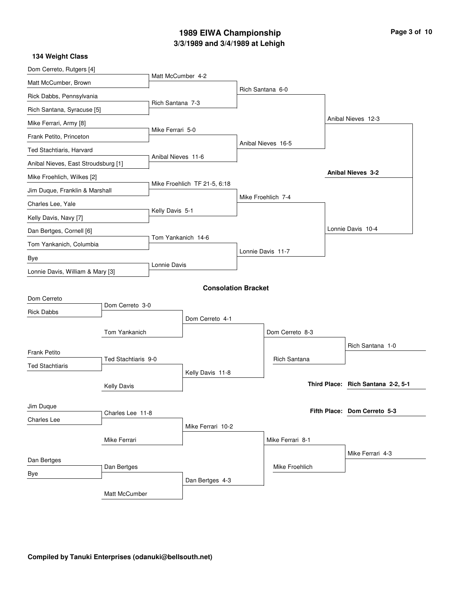## **3/3/1989 and 3/4/1989 at Lehigh 1989 EIWA Championship Page 3 of 10**

| 134 Weight Class                    |                     |                    |                              |                    |                                    |
|-------------------------------------|---------------------|--------------------|------------------------------|--------------------|------------------------------------|
| Dom Cerreto, Rutgers [4]            |                     |                    |                              |                    |                                    |
| Matt McCumber, Brown                |                     | Matt McCumber 4-2  |                              |                    |                                    |
| Rick Dabbs, Pennsylvania            |                     |                    |                              | Rich Santana 6-0   |                                    |
| Rich Santana, Syracuse [5]          |                     | Rich Santana 7-3   |                              |                    |                                    |
| Mike Ferrari, Army [8]              |                     |                    |                              |                    | Anibal Nieves 12-3                 |
| Frank Petito, Princeton             |                     | Mike Ferrari 5-0   |                              |                    |                                    |
| Ted Stachtiaris, Harvard            |                     |                    |                              | Anibal Nieves 16-5 |                                    |
| Anibal Nieves, East Stroudsburg [1] |                     | Anibal Nieves 11-6 |                              |                    |                                    |
| Mike Froehlich, Wilkes [2]          |                     |                    |                              |                    | <b>Anibal Nieves 3-2</b>           |
| Jim Duque, Franklin & Marshall      |                     |                    | Mike Froehlich TF 21-5, 6:18 |                    |                                    |
| Charles Lee, Yale                   |                     |                    |                              | Mike Froehlich 7-4 |                                    |
| Kelly Davis, Navy [7]               |                     | Kelly Davis 5-1    |                              |                    |                                    |
| Dan Bertges, Cornell [6]            |                     |                    |                              |                    | Lonnie Davis 10-4                  |
| Tom Yankanich, Columbia             |                     | Tom Yankanich 14-6 |                              |                    |                                    |
| Bye                                 |                     |                    |                              | Lonnie Davis 11-7  |                                    |
| Lonnie Davis, William & Mary [3]    |                     | Lonnie Davis       |                              |                    |                                    |
|                                     |                     |                    | <b>Consolation Bracket</b>   |                    |                                    |
| Dom Cerreto                         |                     |                    |                              |                    |                                    |
| <b>Rick Dabbs</b>                   | Dom Cerreto 3-0     |                    |                              |                    |                                    |
|                                     |                     |                    | Dom Cerreto 4-1              |                    |                                    |
|                                     | Tom Yankanich       |                    |                              | Dom Cerreto 8-3    |                                    |
| <b>Frank Petito</b>                 |                     |                    |                              |                    | Rich Santana 1-0                   |
| <b>Ted Stachtiaris</b>              | Ted Stachtiaris 9-0 |                    |                              | Rich Santana       |                                    |
|                                     |                     |                    | Kelly Davis 11-8             |                    |                                    |
|                                     | <b>Kelly Davis</b>  |                    |                              |                    | Third Place: Rich Santana 2-2, 5-1 |
| Jim Duque                           |                     |                    |                              |                    |                                    |
| <b>Charles Lee</b>                  | Charles Lee 11-8    |                    |                              |                    | Fifth Place: Dom Cerreto 5-3       |
|                                     |                     |                    | Mike Ferrari 10-2            |                    |                                    |
|                                     | Mike Ferrari        |                    |                              | Mike Ferrari 8-1   |                                    |
| Dan Bertges                         |                     |                    |                              |                    | Mike Ferrari 4-3                   |
| Bye                                 | Dan Bertges         |                    |                              | Mike Froehlich     |                                    |
|                                     |                     |                    | Dan Bertges 4-3              |                    |                                    |
|                                     | Matt McCumber       |                    |                              |                    |                                    |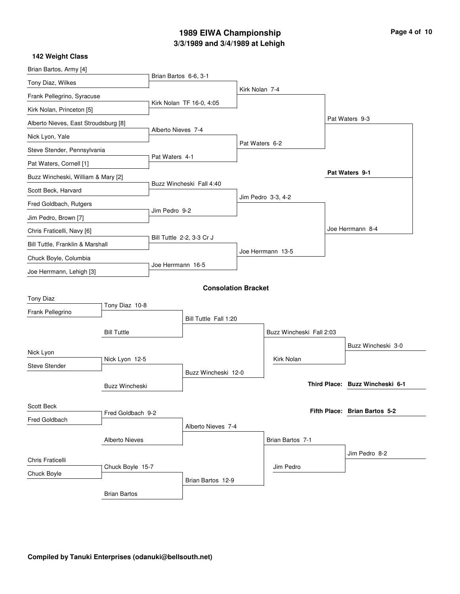### **3/3/1989 and 3/4/1989 at Lehigh 1989 EIWA Championship Page 4 of 10**

| 142 Weight Class                     |                       |                           |                            |                |                          |  |                                 |
|--------------------------------------|-----------------------|---------------------------|----------------------------|----------------|--------------------------|--|---------------------------------|
| Brian Bartos, Army [4]               |                       |                           |                            |                |                          |  |                                 |
| Tony Diaz, Wilkes                    |                       | Brian Bartos 6-6, 3-1     |                            |                |                          |  |                                 |
| Frank Pellegrino, Syracuse           |                       |                           |                            | Kirk Nolan 7-4 |                          |  |                                 |
| Kirk Nolan, Princeton [5]            |                       |                           | Kirk Nolan TF 16-0, 4:05   |                |                          |  |                                 |
| Alberto Nieves, East Stroudsburg [8] |                       |                           |                            |                |                          |  | Pat Waters 9-3                  |
| Nick Lyon, Yale                      |                       | Alberto Nieves 7-4        |                            |                |                          |  |                                 |
| Steve Stender, Pennsylvania          |                       |                           |                            | Pat Waters 6-2 |                          |  |                                 |
| Pat Waters, Cornell [1]              |                       | Pat Waters 4-1            |                            |                |                          |  |                                 |
| Buzz Wincheski, William & Mary [2]   |                       |                           |                            |                |                          |  | Pat Waters 9-1                  |
| Scott Beck, Harvard                  |                       |                           | Buzz Wincheski Fall 4:40   |                |                          |  |                                 |
| Fred Goldbach, Rutgers               |                       |                           |                            |                | Jim Pedro 3-3, 4-2       |  |                                 |
| Jim Pedro, Brown [7]                 |                       | Jim Pedro 9-2             |                            |                |                          |  |                                 |
| Chris Fraticelli, Navy [6]           |                       |                           |                            |                |                          |  | Joe Herrmann 8-4                |
| Bill Tuttle, Franklin & Marshall     |                       | Bill Tuttle 2-2, 3-3 Cr J |                            |                |                          |  |                                 |
| Chuck Boyle, Columbia                |                       |                           |                            |                | Joe Herrmann 13-5        |  |                                 |
| Joe Herrmann, Lehigh [3]             |                       | Joe Herrmann 16-5         |                            |                |                          |  |                                 |
|                                      |                       |                           | <b>Consolation Bracket</b> |                |                          |  |                                 |
| <b>Tony Diaz</b>                     |                       |                           |                            |                |                          |  |                                 |
| Frank Pellegrino                     | Tony Diaz 10-8        |                           |                            |                |                          |  |                                 |
|                                      |                       |                           | Bill Tuttle Fall 1:20      |                |                          |  |                                 |
|                                      | <b>Bill Tuttle</b>    |                           |                            |                | Buzz Wincheski Fall 2:03 |  |                                 |
| Nick Lyon                            |                       |                           |                            |                |                          |  | Buzz Wincheski 3-0              |
| <b>Steve Stender</b>                 | Nick Lyon 12-5        |                           |                            |                | Kirk Nolan               |  |                                 |
|                                      |                       |                           | Buzz Wincheski 12-0        |                |                          |  |                                 |
|                                      | <b>Buzz Wincheski</b> |                           |                            |                |                          |  | Third Place: Buzz Wincheski 6-1 |
| Scott Beck                           |                       |                           |                            |                |                          |  |                                 |
| Fred Goldbach                        | Fred Goldbach 9-2     |                           |                            |                |                          |  | Fifth Place: Brian Bartos 5-2   |
|                                      |                       |                           | Alberto Nieves 7-4         |                |                          |  |                                 |
|                                      | <b>Alberto Nieves</b> |                           |                            |                | Brian Bartos 7-1         |  |                                 |
| Chris Fraticelli                     |                       |                           |                            |                |                          |  | Jim Pedro 8-2                   |
| Chuck Boyle                          | Chuck Boyle 15-7      |                           |                            |                | Jim Pedro                |  |                                 |
|                                      |                       |                           | Brian Bartos 12-9          |                |                          |  |                                 |
|                                      | <b>Brian Bartos</b>   |                           |                            |                |                          |  |                                 |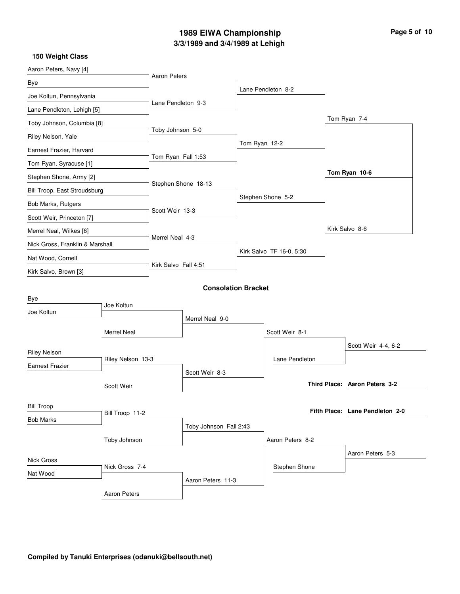# **3/3/1989 and 3/4/1989 at Lehigh 1989 EIWA Championship Page 5 of 10**

| Aaron Peters, Navy [4]          |                     |                      |                            |               |                          |                  |                                 |
|---------------------------------|---------------------|----------------------|----------------------------|---------------|--------------------------|------------------|---------------------------------|
| Bye                             |                     | <b>Aaron Peters</b>  |                            |               |                          |                  |                                 |
| Joe Koltun, Pennsylvania        |                     |                      |                            |               | Lane Pendleton 8-2       |                  |                                 |
| Lane Pendleton, Lehigh [5]      |                     | Lane Pendleton 9-3   |                            |               |                          |                  |                                 |
| Toby Johnson, Columbia [8]      |                     |                      |                            |               |                          |                  | Tom Ryan 7-4                    |
| Riley Nelson, Yale              |                     | Toby Johnson 5-0     |                            |               |                          |                  |                                 |
| Earnest Frazier, Harvard        |                     |                      |                            | Tom Ryan 12-2 |                          |                  |                                 |
| Tom Ryan, Syracuse [1]          |                     | Tom Ryan Fall 1:53   |                            |               |                          |                  |                                 |
| Stephen Shone, Army [2]         |                     |                      |                            |               |                          |                  | Tom Ryan 10-6                   |
| Bill Troop, East Stroudsburg    |                     |                      | Stephen Shone 18-13        |               |                          |                  |                                 |
| Bob Marks, Rutgers              |                     |                      |                            |               | Stephen Shone 5-2        |                  |                                 |
| Scott Weir, Princeton [7]       |                     | Scott Weir 13-3      |                            |               |                          |                  |                                 |
| Merrel Neal, Wilkes [6]         |                     |                      |                            |               |                          |                  | Kirk Salvo 8-6                  |
| Nick Gross, Franklin & Marshall |                     | Merrel Neal 4-3      |                            |               |                          |                  |                                 |
| Nat Wood, Cornell               |                     |                      |                            |               | Kirk Salvo TF 16-0, 5:30 |                  |                                 |
| Kirk Salvo, Brown [3]           |                     | Kirk Salvo Fall 4:51 |                            |               |                          |                  |                                 |
|                                 |                     |                      | <b>Consolation Bracket</b> |               |                          |                  |                                 |
| Bye                             |                     |                      |                            |               |                          |                  |                                 |
| Joe Koltun                      | Joe Koltun          |                      |                            |               |                          |                  |                                 |
|                                 |                     | Merrel Neal 9-0      |                            |               |                          |                  |                                 |
|                                 | <b>Merrel Neal</b>  |                      |                            |               | Scott Weir 8-1           |                  |                                 |
| <b>Riley Nelson</b>             |                     |                      |                            |               |                          |                  | Scott Weir 4-4, 6-2             |
| <b>Earnest Frazier</b>          | Riley Nelson 13-3   |                      |                            |               | Lane Pendleton           |                  |                                 |
|                                 |                     |                      | Scott Weir 8-3             |               |                          |                  |                                 |
|                                 | Scott Weir          |                      |                            |               |                          |                  | Third Place: Aaron Peters 3-2   |
| <b>Bill Troop</b>               |                     |                      |                            |               |                          |                  |                                 |
| <b>Bob Marks</b>                | Bill Troop 11-2     |                      |                            |               |                          |                  | Fifth Place: Lane Pendleton 2-0 |
|                                 |                     |                      | Toby Johnson Fall 2:43     |               |                          |                  |                                 |
| Toby Johnson                    |                     |                      |                            |               | Aaron Peters 8-2         |                  |                                 |
| Nick Gross                      |                     |                      |                            |               |                          | Aaron Peters 5-3 |                                 |
| Nick Gross 7-4<br>Nat Wood      |                     |                      |                            |               | Stephen Shone            |                  |                                 |
|                                 |                     |                      | Aaron Peters 11-3          |               |                          |                  |                                 |
|                                 | <b>Aaron Peters</b> |                      |                            |               |                          |                  |                                 |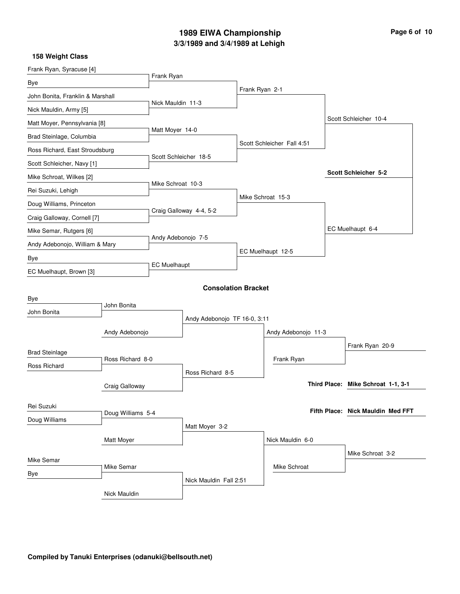## **3/3/1989 and 3/4/1989 at Lehigh 1989 EIWA Championship Page 6 of 10**

| Frank Ryan, Syracuse [4]         |                   |                              |                            |                |                            |                      |                                    |  |
|----------------------------------|-------------------|------------------------------|----------------------------|----------------|----------------------------|----------------------|------------------------------------|--|
| Bye                              |                   | Frank Ryan                   |                            |                |                            |                      |                                    |  |
| John Bonita, Franklin & Marshall |                   |                              |                            | Frank Ryan 2-1 |                            |                      |                                    |  |
| Nick Mauldin, Army [5]           |                   | Nick Mauldin 11-3            |                            |                |                            |                      |                                    |  |
| Matt Moyer, Pennsylvania [8]     |                   |                              |                            |                |                            |                      | Scott Schleicher 10-4              |  |
| Brad Steinlage, Columbia         |                   | Matt Moyer 14-0              |                            |                |                            |                      |                                    |  |
| Ross Richard, East Stroudsburg   |                   | Scott Schleicher 18-5        |                            |                | Scott Schleicher Fall 4:51 |                      |                                    |  |
| Scott Schleicher, Navy [1]       |                   |                              |                            |                |                            |                      |                                    |  |
| Mike Schroat, Wilkes [2]         |                   | Mike Schroat 10-3            |                            |                |                            | Scott Schleicher 5-2 |                                    |  |
| Rei Suzuki, Lehigh               |                   |                              |                            |                |                            |                      |                                    |  |
| Doug Williams, Princeton         |                   |                              |                            |                | Mike Schroat 15-3          |                      |                                    |  |
| Craig Galloway, Cornell [7]      |                   |                              | Craig Galloway 4-4, 5-2    |                |                            |                      |                                    |  |
| Mike Semar, Rutgers [6]          |                   |                              |                            |                |                            |                      | EC Muelhaupt 6-4                   |  |
| Andy Adebonojo, William & Mary   |                   | Andy Adebonojo 7-5           |                            |                |                            |                      |                                    |  |
| Bye                              |                   |                              |                            |                | EC Muelhaupt 12-5          |                      |                                    |  |
| EC Muelhaupt, Brown [3]          |                   | <b>EC Muelhaupt</b>          |                            |                |                            |                      |                                    |  |
|                                  |                   |                              | <b>Consolation Bracket</b> |                |                            |                      |                                    |  |
| Bye                              |                   |                              |                            |                |                            |                      |                                    |  |
| John Bonita                      | John Bonita       |                              |                            |                |                            |                      |                                    |  |
|                                  |                   | Andy Adebonojo TF 16-0, 3:11 |                            |                |                            |                      |                                    |  |
|                                  | Andy Adebonojo    |                              |                            |                | Andy Adebonojo 11-3        |                      |                                    |  |
| <b>Brad Steinlage</b>            |                   |                              |                            |                |                            |                      | Frank Ryan 20-9                    |  |
| Ross Richard                     | Ross Richard 8-0  |                              |                            |                | Frank Ryan                 |                      |                                    |  |
|                                  |                   |                              | Ross Richard 8-5           |                |                            |                      |                                    |  |
|                                  | Craig Galloway    |                              |                            |                |                            |                      | Third Place: Mike Schroat 1-1, 3-1 |  |
| Rei Suzuki                       |                   |                              |                            |                |                            |                      |                                    |  |
| Doug Williams                    | Doug Williams 5-4 |                              |                            |                |                            |                      | Fifth Place: Nick Mauldin Med FFT  |  |
|                                  |                   |                              | Matt Moyer 3-2             |                |                            |                      |                                    |  |
| Matt Moyer                       |                   |                              |                            |                | Nick Mauldin 6-0           |                      |                                    |  |
| Mike Semar                       |                   |                              |                            |                |                            |                      | Mike Schroat 3-2                   |  |
| Bye                              | Mike Semar        |                              |                            |                | Mike Schroat               |                      |                                    |  |
|                                  |                   |                              | Nick Mauldin Fall 2:51     |                |                            |                      |                                    |  |
|                                  | Nick Mauldin      |                              |                            |                |                            |                      |                                    |  |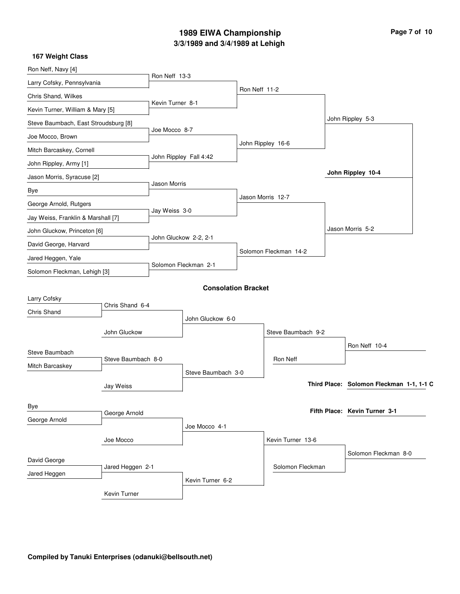# **3/3/1989 and 3/4/1989 at Lehigh 1989 EIWA Championship Page 7 of 10**

| Ron Neff, Navy [4]                   |                    |                       |                            |               |                       |  |                                          |  |
|--------------------------------------|--------------------|-----------------------|----------------------------|---------------|-----------------------|--|------------------------------------------|--|
| Larry Cofsky, Pennsylvania           |                    | Ron Neff 13-3         |                            |               |                       |  |                                          |  |
| Chris Shand, Wilkes                  |                    |                       |                            | Ron Neff 11-2 |                       |  |                                          |  |
| Kevin Turner, William & Mary [5]     |                    | Kevin Turner 8-1      |                            |               |                       |  |                                          |  |
| Steve Baumbach, East Stroudsburg [8] |                    |                       |                            |               |                       |  | John Rippley 5-3                         |  |
| Joe Mocco, Brown                     |                    | Joe Mocco 8-7         |                            |               |                       |  |                                          |  |
| Mitch Barcaskey, Cornell             |                    |                       |                            |               | John Rippley 16-6     |  |                                          |  |
| John Rippley, Army [1]               |                    |                       | John Rippley Fall 4:42     |               |                       |  |                                          |  |
| Jason Morris, Syracuse [2]           |                    |                       |                            |               |                       |  | John Rippley 10-4                        |  |
| Bye                                  |                    | <b>Jason Morris</b>   |                            |               |                       |  |                                          |  |
| George Arnold, Rutgers               |                    |                       |                            |               | Jason Morris 12-7     |  |                                          |  |
| Jay Weiss, Franklin & Marshall [7]   |                    | Jay Weiss 3-0         |                            |               |                       |  |                                          |  |
| John Gluckow, Princeton [6]          |                    |                       |                            |               |                       |  | Jason Morris 5-2                         |  |
| David George, Harvard                |                    | John Gluckow 2-2, 2-1 |                            |               |                       |  |                                          |  |
| Jared Heggen, Yale                   |                    |                       |                            |               | Solomon Fleckman 14-2 |  |                                          |  |
| Solomon Fleckman, Lehigh [3]         |                    |                       | Solomon Fleckman 2-1       |               |                       |  |                                          |  |
|                                      |                    |                       | <b>Consolation Bracket</b> |               |                       |  |                                          |  |
| Larry Cofsky                         |                    |                       |                            |               |                       |  |                                          |  |
| Chris Shand                          | Chris Shand 6-4    |                       |                            |               |                       |  |                                          |  |
|                                      |                    |                       | John Gluckow 6-0           |               |                       |  |                                          |  |
|                                      | John Gluckow       |                       |                            |               | Steve Baumbach 9-2    |  |                                          |  |
| Steve Baumbach                       |                    |                       |                            |               |                       |  | Ron Neff 10-4                            |  |
| Mitch Barcaskey                      | Steve Baumbach 8-0 |                       |                            |               | Ron Neff              |  |                                          |  |
|                                      |                    |                       | Steve Baumbach 3-0         |               |                       |  |                                          |  |
|                                      | Jay Weiss          |                       |                            |               |                       |  | Third Place: Solomon Fleckman 1-1, 1-1 C |  |
| Bye                                  |                    |                       |                            |               |                       |  |                                          |  |
| George Arnold                        | George Arnold      |                       |                            |               |                       |  | Fifth Place: Kevin Turner 3-1            |  |
|                                      |                    |                       | Joe Mocco 4-1              |               |                       |  |                                          |  |
|                                      | Joe Mocco          |                       |                            |               | Kevin Turner 13-6     |  |                                          |  |
| David George                         |                    |                       |                            |               |                       |  | Solomon Fleckman 8-0                     |  |
| Jared Heggen                         | Jared Heggen 2-1   |                       |                            |               | Solomon Fleckman      |  |                                          |  |
|                                      |                    |                       | Kevin Turner 6-2           |               |                       |  |                                          |  |
|                                      | Kevin Turner       |                       |                            |               |                       |  |                                          |  |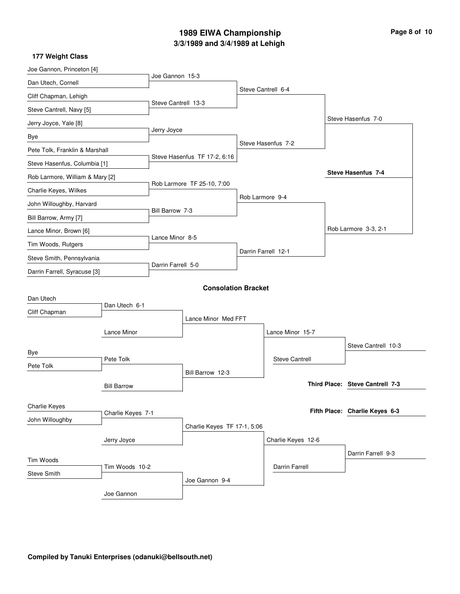# **3/3/1989 and 3/4/1989 at Lehigh 1989 EIWA Championship Page 8 of 10**

| Joe Gannon, Princeton [4]       |                            |                             |                              |                    |                       |                    |                                 |  |  |
|---------------------------------|----------------------------|-----------------------------|------------------------------|--------------------|-----------------------|--------------------|---------------------------------|--|--|
| Dan Utech, Cornell              |                            | Joe Gannon 15-3             |                              |                    |                       |                    |                                 |  |  |
| Cliff Chapman, Lehigh           |                            |                             |                              |                    | Steve Cantrell 6-4    |                    |                                 |  |  |
| Steve Cantrell, Navy [5]        |                            | Steve Cantrell 13-3         |                              |                    |                       |                    |                                 |  |  |
| Jerry Joyce, Yale [8]           |                            |                             |                              |                    |                       |                    | Steve Hasenfus 7-0              |  |  |
| Bye                             |                            | Jerry Joyce                 |                              |                    |                       |                    |                                 |  |  |
| Pete Tolk, Franklin & Marshall  |                            |                             |                              |                    | Steve Hasenfus 7-2    |                    |                                 |  |  |
| Steve Hasenfus, Columbia [1]    |                            |                             | Steve Hasenfus TF 17-2, 6:16 |                    |                       |                    |                                 |  |  |
| Rob Larmore, William & Mary [2] |                            |                             |                              |                    |                       |                    | <b>Steve Hasenfus 7-4</b>       |  |  |
| Charlie Keyes, Wilkes           |                            |                             | Rob Larmore TF 25-10, 7:00   |                    |                       |                    |                                 |  |  |
| John Willoughby, Harvard        |                            |                             |                              | Rob Larmore 9-4    |                       |                    |                                 |  |  |
| Bill Barrow, Army [7]           |                            | Bill Barrow 7-3             |                              |                    |                       |                    |                                 |  |  |
| Lance Minor, Brown [6]          |                            |                             |                              |                    |                       |                    | Rob Larmore 3-3, 2-1            |  |  |
| Tim Woods, Rutgers              |                            | Lance Minor 8-5             |                              |                    |                       |                    |                                 |  |  |
| Steve Smith, Pennsylvania       |                            |                             |                              |                    | Darrin Farrell 12-1   |                    |                                 |  |  |
| Darrin Farrell, Syracuse [3]    |                            | Darrin Farrell 5-0          |                              |                    |                       |                    |                                 |  |  |
|                                 | <b>Consolation Bracket</b> |                             |                              |                    |                       |                    |                                 |  |  |
| Dan Utech                       |                            |                             |                              |                    |                       |                    |                                 |  |  |
| Cliff Chapman                   | Dan Utech 6-1              |                             |                              |                    |                       |                    |                                 |  |  |
|                                 |                            | Lance Minor Med FFT         |                              |                    |                       |                    |                                 |  |  |
|                                 | Lance Minor                |                             |                              |                    | Lance Minor 15-7      |                    |                                 |  |  |
| Bye                             |                            |                             |                              |                    |                       |                    | Steve Cantrell 10-3             |  |  |
| Pete Tolk                       | Pete Tolk                  |                             |                              |                    | <b>Steve Cantrell</b> |                    |                                 |  |  |
|                                 |                            |                             | Bill Barrow 12-3             |                    |                       |                    | Third Place: Steve Cantrell 7-3 |  |  |
|                                 | <b>Bill Barrow</b>         |                             |                              |                    |                       |                    |                                 |  |  |
| Charlie Keyes                   |                            |                             |                              |                    |                       |                    | Fifth Place: Charlie Keyes 6-3  |  |  |
| John Willoughby                 | Charlie Keyes 7-1          |                             |                              |                    |                       |                    |                                 |  |  |
|                                 |                            | Charlie Keyes TF 17-1, 5:06 |                              |                    |                       |                    |                                 |  |  |
|                                 |                            |                             |                              | Charlie Keyes 12-6 |                       |                    |                                 |  |  |
| Tim Woods                       |                            |                             |                              |                    |                       | Darrin Farrell 9-3 |                                 |  |  |
| Steve Smith                     | Tim Woods 10-2             |                             |                              |                    | <b>Darrin Farrell</b> |                    |                                 |  |  |
|                                 |                            |                             | Joe Gannon 9-4               |                    |                       |                    |                                 |  |  |
|                                 | Joe Gannon                 |                             |                              |                    |                       |                    |                                 |  |  |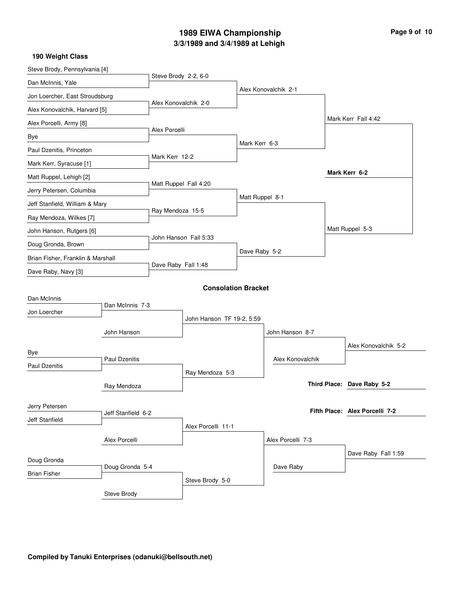# **3/3/1989 and 3/4/1989 at Lehigh 1989 EIWA Championship Page 9 of 10**

| Steve Brody, Pennsylvania [4]     |                      |                           |                            |                 |                      |  |                                |
|-----------------------------------|----------------------|---------------------------|----------------------------|-----------------|----------------------|--|--------------------------------|
| Dan McInnis, Yale                 |                      | Steve Brody 2-2, 6-0      |                            |                 |                      |  |                                |
| Jon Loercher, East Stroudsburg    |                      |                           |                            |                 | Alex Konovalchik 2-1 |  |                                |
| Alex Konovalchik, Harvard [5]     |                      | Alex Konovalchik 2-0      |                            |                 |                      |  |                                |
| Alex Porcelli, Army [8]           |                      |                           |                            |                 |                      |  | Mark Kerr Fall 4:42            |
| Bye                               |                      | Alex Porcelli             |                            |                 |                      |  |                                |
| Paul Dzenitis, Princeton          |                      |                           |                            | Mark Kerr 6-3   |                      |  |                                |
| Mark Kerr, Syracuse [1]           |                      | Mark Kerr 12-2            |                            |                 |                      |  |                                |
| Matt Ruppel, Lehigh [2]           |                      |                           |                            |                 |                      |  | Mark Kerr 6-2                  |
| Jerry Petersen, Columbia          |                      | Matt Ruppel Fall 4:20     |                            |                 |                      |  |                                |
| Jeff Stanfield, William & Mary    |                      |                           |                            | Matt Ruppel 8-1 |                      |  |                                |
| Ray Mendoza, Wilkes [7]           |                      | Ray Mendoza 15-5          |                            |                 |                      |  |                                |
| John Hanson, Rutgers [6]          |                      |                           |                            |                 |                      |  | Matt Ruppel 5-3                |
| Doug Gronda, Brown                |                      | John Hanson Fall 5:33     |                            |                 |                      |  |                                |
| Brian Fisher, Franklin & Marshall |                      |                           | Dave Raby 5-2              |                 |                      |  |                                |
| Dave Raby, Navy [3]               |                      | Dave Raby Fall 1:48       |                            |                 |                      |  |                                |
|                                   |                      |                           | <b>Consolation Bracket</b> |                 |                      |  |                                |
| Dan McInnis                       |                      |                           |                            |                 |                      |  |                                |
| Jon Loercher                      | Dan McInnis 7-3      |                           |                            |                 |                      |  |                                |
|                                   |                      | John Hanson TF 19-2, 5:59 |                            |                 |                      |  |                                |
|                                   | John Hanson          |                           |                            |                 | John Hanson 8-7      |  |                                |
| Bye                               |                      |                           |                            |                 |                      |  | Alex Konovalchik 5-2           |
| Paul Dzenitis                     | <b>Paul Dzenitis</b> |                           |                            |                 | Alex Konovalchik     |  |                                |
|                                   |                      |                           | Ray Mendoza 5-3            |                 |                      |  | Third Place: Dave Raby 5-2     |
|                                   | Ray Mendoza          |                           |                            |                 |                      |  |                                |
| Jerry Petersen                    |                      |                           |                            |                 |                      |  | Fifth Place: Alex Porcelli 7-2 |
| Jeff Stanfield                    | Jeff Stanfield 6-2   |                           |                            |                 |                      |  |                                |
|                                   |                      |                           | Alex Porcelli 11-1         |                 |                      |  |                                |
|                                   | Alex Porcelli        |                           |                            |                 | Alex Porcelli 7-3    |  |                                |
| Doug Gronda                       |                      |                           |                            |                 |                      |  | Dave Raby Fall 1:59            |
| <b>Brian Fisher</b>               | Doug Gronda 5-4      |                           |                            |                 | Dave Raby            |  |                                |
|                                   |                      |                           | Steve Brody 5-0            |                 |                      |  |                                |
|                                   | Steve Brody          |                           |                            |                 |                      |  |                                |